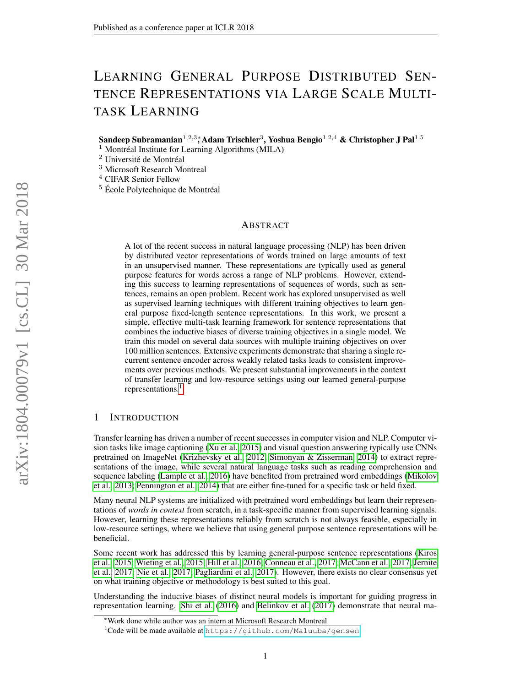# LEARNING GENERAL PURPOSE DISTRIBUTED SEN-TENCE REPRESENTATIONS VIA LARGE SCALE MULTI-TASK LEARNING

Sandeep Subramanian $^{1,2,3}$ \*, Adam Trischler $^{3}$ , Yoshua Bengio $^{1,2,4}$  & Christopher J Pal $^{1,5}$ 

 $<sup>1</sup>$  Montréal Institute for Learning Algorithms (MILA)</sup>

<sup>2</sup> Université de Montréal

<sup>3</sup> Microsoft Research Montreal

<sup>4</sup> CIFAR Senior Fellow

<sup>5</sup> École Polytechnique de Montréal

# ABSTRACT

A lot of the recent success in natural language processing (NLP) has been driven by distributed vector representations of words trained on large amounts of text in an unsupervised manner. These representations are typically used as general purpose features for words across a range of NLP problems. However, extending this success to learning representations of sequences of words, such as sentences, remains an open problem. Recent work has explored unsupervised as well as supervised learning techniques with different training objectives to learn general purpose fixed-length sentence representations. In this work, we present a simple, effective multi-task learning framework for sentence representations that combines the inductive biases of diverse training objectives in a single model. We train this model on several data sources with multiple training objectives on over 100 million sentences. Extensive experiments demonstrate that sharing a single recurrent sentence encoder across weakly related tasks leads to consistent improvements over previous methods. We present substantial improvements in the context of transfer learning and low-resource settings using our learned general-purpose representations.<sup>[1](#page-0-0)</sup>

# 1 INTRODUCTION

Transfer learning has driven a number of recent successes in computer vision and NLP. Computer vision tasks like image captioning [\(Xu et al., 2015\)](#page-11-0) and visual question answering typically use CNNs pretrained on ImageNet [\(Krizhevsky et al., 2012;](#page-9-0) [Simonyan & Zisserman, 2014\)](#page-10-0) to extract representations of the image, while several natural language tasks such as reading comprehension and sequence labeling [\(Lample et al., 2016\)](#page-9-1) have benefited from pretrained word embeddings [\(Mikolov](#page-10-1) [et al., 2013;](#page-10-1) [Pennington et al., 2014\)](#page-10-2) that are either fine-tuned for a specific task or held fixed.

Many neural NLP systems are initialized with pretrained word embeddings but learn their representations of *words in context* from scratch, in a task-specific manner from supervised learning signals. However, learning these representations reliably from scratch is not always feasible, especially in low-resource settings, where we believe that using general purpose sentence representations will be beneficial.

Some recent work has addressed this by learning general-purpose sentence representations [\(Kiros](#page-9-2) [et al., 2015;](#page-9-2) [Wieting et al., 2015;](#page-11-1) [Hill et al., 2016;](#page-9-3) [Conneau et al., 2017;](#page-9-4) [McCann et al., 2017;](#page-10-3) [Jernite](#page-9-5) [et al., 2017;](#page-9-5) [Nie et al., 2017;](#page-10-4) [Pagliardini et al., 2017\)](#page-10-5). However, there exists no clear consensus yet on what training objective or methodology is best suited to this goal.

Understanding the inductive biases of distinct neural models is important for guiding progress in representation learning. [Shi et al.](#page-10-6) [\(2016\)](#page-10-6) and [Belinkov et al.](#page-8-0) [\(2017\)](#page-8-0) demonstrate that neural ma-

<sup>∗</sup>Work done while author was an intern at Microsoft Research Montreal

<span id="page-0-0"></span><sup>&</sup>lt;sup>1</sup>Code will be made available at <https://github.com/Maluuba/gensen>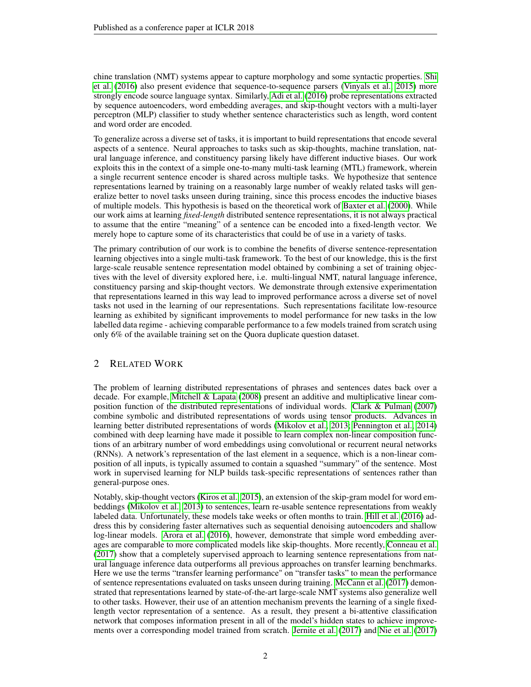chine translation (NMT) systems appear to capture morphology and some syntactic properties. [Shi](#page-10-6) [et al.](#page-10-6) [\(2016\)](#page-10-6) also present evidence that sequence-to-sequence parsers [\(Vinyals et al., 2015\)](#page-11-2) more strongly encode source language syntax. Similarly, [Adi et al.](#page-8-1) [\(2016\)](#page-8-1) probe representations extracted by sequence autoencoders, word embedding averages, and skip-thought vectors with a multi-layer perceptron (MLP) classifier to study whether sentence characteristics such as length, word content and word order are encoded.

To generalize across a diverse set of tasks, it is important to build representations that encode several aspects of a sentence. Neural approaches to tasks such as skip-thoughts, machine translation, natural language inference, and constituency parsing likely have different inductive biases. Our work exploits this in the context of a simple one-to-many multi-task learning (MTL) framework, wherein a single recurrent sentence encoder is shared across multiple tasks. We hypothesize that sentence representations learned by training on a reasonably large number of weakly related tasks will generalize better to novel tasks unseen during training, since this process encodes the inductive biases of multiple models. This hypothesis is based on the theoretical work of [Baxter et al.](#page-8-2) [\(2000\)](#page-8-2). While our work aims at learning *fixed-length* distributed sentence representations, it is not always practical to assume that the entire "meaning" of a sentence can be encoded into a fixed-length vector. We merely hope to capture some of its characteristics that could be of use in a variety of tasks.

The primary contribution of our work is to combine the benefits of diverse sentence-representation learning objectives into a single multi-task framework. To the best of our knowledge, this is the first large-scale reusable sentence representation model obtained by combining a set of training objectives with the level of diversity explored here, i.e. multi-lingual NMT, natural language inference, constituency parsing and skip-thought vectors. We demonstrate through extensive experimentation that representations learned in this way lead to improved performance across a diverse set of novel tasks not used in the learning of our representations. Such representations facilitate low-resource learning as exhibited by significant improvements to model performance for new tasks in the low labelled data regime - achieving comparable performance to a few models trained from scratch using only 6% of the available training set on the Quora duplicate question dataset.

# 2 RELATED WORK

The problem of learning distributed representations of phrases and sentences dates back over a decade. For example, [Mitchell & Lapata](#page-10-7) [\(2008\)](#page-10-7) present an additive and multiplicative linear composition function of the distributed representations of individual words. [Clark & Pulman](#page-9-6) [\(2007\)](#page-9-6) combine symbolic and distributed representations of words using tensor products. Advances in learning better distributed representations of words [\(Mikolov et al., 2013;](#page-10-1) [Pennington et al., 2014\)](#page-10-2) combined with deep learning have made it possible to learn complex non-linear composition functions of an arbitrary number of word embeddings using convolutional or recurrent neural networks (RNNs). A network's representation of the last element in a sequence, which is a non-linear composition of all inputs, is typically assumed to contain a squashed "summary" of the sentence. Most work in supervised learning for NLP builds task-specific representations of sentences rather than general-purpose ones.

Notably, skip-thought vectors [\(Kiros et al., 2015\)](#page-9-2), an extension of the skip-gram model for word embeddings [\(Mikolov et al., 2013\)](#page-10-1) to sentences, learn re-usable sentence representations from weakly labeled data. Unfortunately, these models take weeks or often months to train. [Hill et al.](#page-9-3) [\(2016\)](#page-9-3) address this by considering faster alternatives such as sequential denoising autoencoders and shallow log-linear models. [Arora et al.](#page-8-3) [\(2016\)](#page-8-3), however, demonstrate that simple word embedding averages are comparable to more complicated models like skip-thoughts. More recently, [Conneau et al.](#page-9-4) [\(2017\)](#page-9-4) show that a completely supervised approach to learning sentence representations from natural language inference data outperforms all previous approaches on transfer learning benchmarks. Here we use the terms "transfer learning performance" on "transfer tasks" to mean the performance of sentence representations evaluated on tasks unseen during training. [McCann et al.](#page-10-3) [\(2017\)](#page-10-3) demonstrated that representations learned by state-of-the-art large-scale NMT systems also generalize well to other tasks. However, their use of an attention mechanism prevents the learning of a single fixedlength vector representation of a sentence. As a result, they present a bi-attentive classification network that composes information present in all of the model's hidden states to achieve improvements over a corresponding model trained from scratch. [Jernite et al.](#page-9-5) [\(2017\)](#page-9-5) and [Nie et al.](#page-10-4) [\(2017\)](#page-10-4)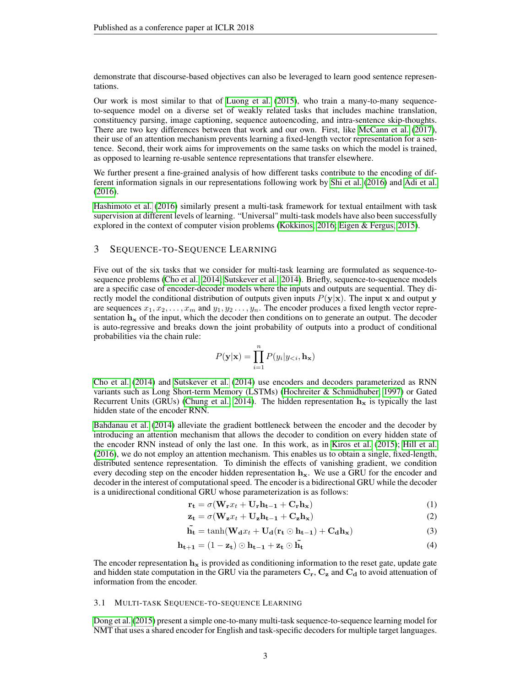demonstrate that discourse-based objectives can also be leveraged to learn good sentence representations.

Our work is most similar to that of [Luong et al.](#page-9-7) [\(2015\)](#page-9-7), who train a many-to-many sequenceto-sequence model on a diverse set of weakly related tasks that includes machine translation, constituency parsing, image captioning, sequence autoencoding, and intra-sentence skip-thoughts. There are two key differences between that work and our own. First, like [McCann et al.](#page-10-3) [\(2017\)](#page-10-3), their use of an attention mechanism prevents learning a fixed-length vector representation for a sentence. Second, their work aims for improvements on the same tasks on which the model is trained, as opposed to learning re-usable sentence representations that transfer elsewhere.

We further present a fine-grained analysis of how different tasks contribute to the encoding of different information signals in our representations following work by [Shi et al.](#page-10-6) [\(2016\)](#page-10-6) and [Adi et al.](#page-8-1) [\(2016\)](#page-8-1).

[Hashimoto et al.](#page-9-8) [\(2016\)](#page-9-8) similarly present a multi-task framework for textual entailment with task supervision at different levels of learning. "Universal" multi-task models have also been successfully explored in the context of computer vision problems [\(Kokkinos, 2016;](#page-9-9) [Eigen & Fergus, 2015\)](#page-9-10).

# 3 SEQUENCE-TO-SEQUENCE LEARNING

Five out of the six tasks that we consider for multi-task learning are formulated as sequence-tosequence problems [\(Cho et al., 2014;](#page-9-11) [Sutskever et al., 2014\)](#page-10-8). Briefly, sequence-to-sequence models are a specific case of encoder-decoder models where the inputs and outputs are sequential. They directly model the conditional distribution of outputs given inputs  $P(y|x)$ . The input x and output y are sequences  $x_1, x_2, \ldots, x_m$  and  $y_1, y_2, \ldots, y_n$ . The encoder produces a fixed length vector representation  $h_x$  of the input, which the decoder then conditions on to generate an output. The decoder is auto-regressive and breaks down the joint probability of outputs into a product of conditional probabilities via the chain rule:

$$
P(\mathbf{y}|\mathbf{x}) = \prod_{i=1}^{n} P(y_i|y_{< i}, \mathbf{h}_{\mathbf{x}})
$$

[Cho et al.](#page-9-11) [\(2014\)](#page-9-11) and [Sutskever et al.](#page-10-8) [\(2014\)](#page-10-8) use encoders and decoders parameterized as RNN variants such as Long Short-term Memory (LSTMs) [\(Hochreiter & Schmidhuber, 1997\)](#page-9-12) or Gated Recurrent Units (GRUs) [\(Chung et al., 2014\)](#page-9-13). The hidden representation  $h_x$  is typically the last hidden state of the encoder RNN.

[Bahdanau et al.](#page-8-4) [\(2014\)](#page-8-4) alleviate the gradient bottleneck between the encoder and the decoder by introducing an attention mechanism that allows the decoder to condition on every hidden state of the encoder RNN instead of only the last one. In this work, as in [Kiros et al.](#page-9-2) [\(2015\)](#page-9-2); [Hill et al.](#page-9-3) [\(2016\)](#page-9-3), we do not employ an attention mechanism. This enables us to obtain a single, fixed-length, distributed sentence representation. To diminish the effects of vanishing gradient, we condition every decoding step on the encoder hidden representation  $h<sub>x</sub>$ . We use a GRU for the encoder and decoder in the interest of computational speed. The encoder is a bidirectional GRU while the decoder is a unidirectional conditional GRU whose parameterization is as follows:

$$
\mathbf{r_t} = \sigma(\mathbf{W_r}x_t + \mathbf{U_r}\mathbf{h_{t-1}} + \mathbf{C_r}\mathbf{h_x})
$$
\n(1)

$$
\mathbf{z_t} = \sigma(\mathbf{W_z}x_t + \mathbf{U_z}\mathbf{h_{t-1}} + \mathbf{C_z}\mathbf{h_x})
$$
 (2)

$$
\tilde{\mathbf{h}_{t}} = \tanh(\mathbf{W}_{d}x_{t} + \mathbf{U}_{d}(\mathbf{r}_{t} \odot \mathbf{h}_{t-1}) + \mathbf{C}_{d}\mathbf{h}_{x})
$$
\n(3)

$$
\mathbf{h}_{t+1} = (1 - \mathbf{z}_t) \odot \mathbf{h}_{t-1} + \mathbf{z}_t \odot \tilde{\mathbf{h}_t}
$$
\n(4)

The encoder representation  $h<sub>x</sub>$  is provided as conditioning information to the reset gate, update gate and hidden state computation in the GRU via the parameters  $C_r$ ,  $C_z$  and  $C_d$  to avoid attenuation of information from the encoder.

#### 3.1 MULTI-TASK SEQUENCE-TO-SEQUENCE LEARNING

[Dong et al.](#page-9-14) [\(2015\)](#page-9-14) present a simple one-to-many multi-task sequence-to-sequence learning model for NMT that uses a shared encoder for English and task-specific decoders for multiple target languages.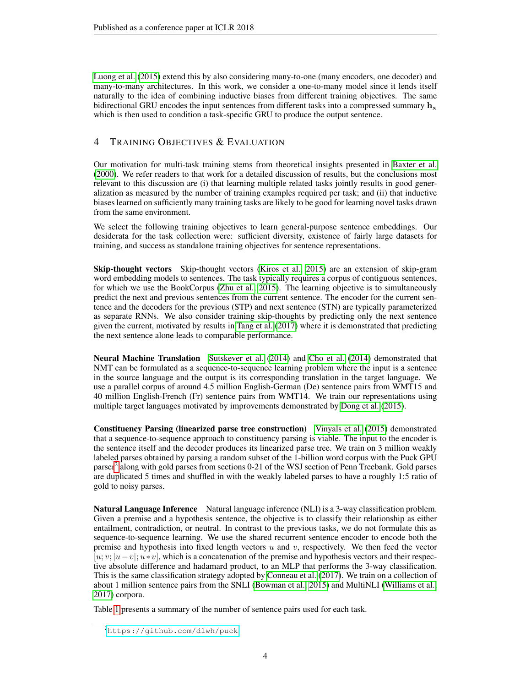[Luong et al.](#page-9-7) [\(2015\)](#page-9-7) extend this by also considering many-to-one (many encoders, one decoder) and many-to-many architectures. In this work, we consider a one-to-many model since it lends itself naturally to the idea of combining inductive biases from different training objectives. The same bidirectional GRU encodes the input sentences from different tasks into a compressed summary  $h_x$ which is then used to condition a task-specific GRU to produce the output sentence.

# 4 TRAINING OBJECTIVES & EVALUATION

Our motivation for multi-task training stems from theoretical insights presented in [Baxter et al.](#page-8-2) [\(2000\)](#page-8-2). We refer readers to that work for a detailed discussion of results, but the conclusions most relevant to this discussion are (i) that learning multiple related tasks jointly results in good generalization as measured by the number of training examples required per task; and (ii) that inductive biases learned on sufficiently many training tasks are likely to be good for learning novel tasks drawn from the same environment.

We select the following training objectives to learn general-purpose sentence embeddings. Our desiderata for the task collection were: sufficient diversity, existence of fairly large datasets for training, and success as standalone training objectives for sentence representations.

Skip-thought vectors Skip-thought vectors [\(Kiros et al., 2015\)](#page-9-2) are an extension of skip-gram word embedding models to sentences. The task typically requires a corpus of contiguous sentences, for which we use the BookCorpus [\(Zhu et al., 2015\)](#page-11-3). The learning objective is to simultaneously predict the next and previous sentences from the current sentence. The encoder for the current sentence and the decoders for the previous (STP) and next sentence (STN) are typically parameterized as separate RNNs. We also consider training skip-thoughts by predicting only the next sentence given the current, motivated by results in [Tang et al.](#page-10-9) [\(2017\)](#page-10-9) where it is demonstrated that predicting the next sentence alone leads to comparable performance.

Neural Machine Translation [Sutskever et al.](#page-10-8) [\(2014\)](#page-10-8) and [Cho et al.](#page-9-11) [\(2014\)](#page-9-11) demonstrated that NMT can be formulated as a sequence-to-sequence learning problem where the input is a sentence in the source language and the output is its corresponding translation in the target language. We use a parallel corpus of around 4.5 million English-German (De) sentence pairs from WMT15 and 40 million English-French (Fr) sentence pairs from WMT14. We train our representations using multiple target languages motivated by improvements demonstrated by [Dong et al.](#page-9-14) [\(2015\)](#page-9-14).

Constituency Parsing (linearized parse tree construction) [Vinyals et al.](#page-11-2) [\(2015\)](#page-11-2) demonstrated that a sequence-to-sequence approach to constituency parsing is viable. The input to the encoder is the sentence itself and the decoder produces its linearized parse tree. We train on 3 million weakly labeled parses obtained by parsing a random subset of the 1-billion word corpus with the Puck GPU parser<sup>[2](#page-3-0)</sup> along with gold parses from sections 0-21 of the WSJ section of Penn Treebank. Gold parses are duplicated 5 times and shuffled in with the weakly labeled parses to have a roughly 1:5 ratio of gold to noisy parses.

Natural Language Inference Natural language inference (NLI) is a 3-way classification problem. Given a premise and a hypothesis sentence, the objective is to classify their relationship as either entailment, contradiction, or neutral. In contrast to the previous tasks, we do not formulate this as sequence-to-sequence learning. We use the shared recurrent sentence encoder to encode both the premise and hypothesis into fixed length vectors  $u$  and  $v$ , respectively. We then feed the vector  $[u; v; |u-v|; u*v]$ , which is a concatenation of the premise and hypothesis vectors and their respective absolute difference and hadamard product, to an MLP that performs the 3-way classification. This is the same classification strategy adopted by [Conneau et al.](#page-9-4) [\(2017\)](#page-9-4). We train on a collection of about 1 million sentence pairs from the SNLI [\(Bowman et al., 2015\)](#page-8-5) and MultiNLI [\(Williams et al.,](#page-11-4) [2017\)](#page-11-4) corpora.

Table [1](#page-4-0) presents a summary of the number of sentence pairs used for each task.

<span id="page-3-0"></span><sup>2</sup><https://github.com/dlwh/puck>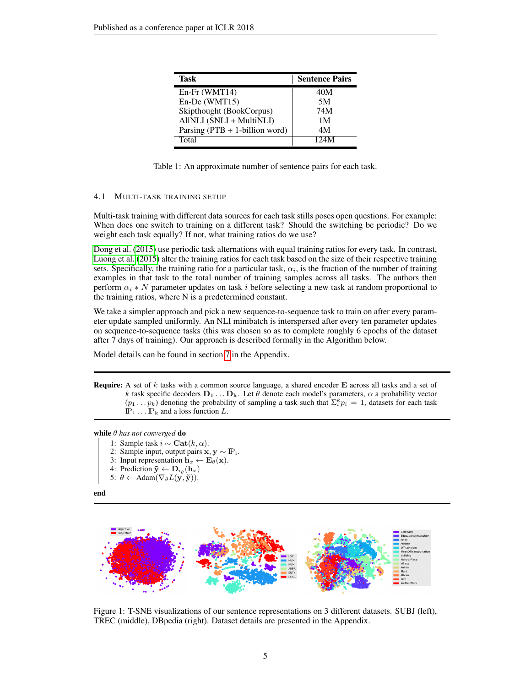| Task                              | <b>Sentence Pairs</b> |
|-----------------------------------|-----------------------|
| En-Fr (WMT14)                     | 40M                   |
| En-De (WMT15)                     | 5M                    |
| Skipthought (BookCorpus)          | 74M                   |
| AllNLI (SNLI + MultiNLI)          | 1 M                   |
| Parsing $(PTB + 1$ -billion word) | 4M                    |
| Total                             | 124M                  |

<span id="page-4-0"></span>Table 1: An approximate number of sentence pairs for each task.

#### 4.1 MULTI-TASK TRAINING SETUP

Multi-task training with different data sources for each task stills poses open questions. For example: When does one switch to training on a different task? Should the switching be periodic? Do we weight each task equally? If not, what training ratios do we use?

[Dong et al.](#page-9-14) [\(2015\)](#page-9-14) use periodic task alternations with equal training ratios for every task. In contrast, [Luong et al.](#page-9-7) [\(2015\)](#page-9-7) alter the training ratios for each task based on the size of their respective training sets. Specifically, the training ratio for a particular task,  $\alpha_i$ , is the fraction of the number of training examples in that task to the total number of training samples across all tasks. The authors then perform  $\alpha_i * N$  parameter updates on task i before selecting a new task at random proportional to the training ratios, where N is a predetermined constant.

We take a simpler approach and pick a new sequence-to-sequence task to train on after every parameter update sampled uniformly. An NLI minibatch is interspersed after every ten parameter updates on sequence-to-sequence tasks (this was chosen so as to complete roughly 6 epochs of the dataset after 7 days of training). Our approach is described formally in the Algorithm below.

Model details can be found in section [7](#page-11-5) in the Appendix.

**Require:** A set of  $k$  tasks with a common source language, a shared encoder  $E$  across all tasks and a set of k task specific decoders  $D_1 \ldots D_k$ . Let  $\theta$  denote each model's parameters,  $\alpha$  a probability vector  $(p_1 \dots p_k)$  denoting the probability of sampling a task such that  $\sum_{i=1}^{k} p_i = 1$ , datasets for each task  $\mathbb{P}_1 \dots \mathbb{P}_k$  and a loss function L.

while θ *has not converged* do

- 1: Sample task  $i$  ∼ Cat $(k, \alpha)$ .
- 2: Sample input, output pairs  $\mathbf{x}, \mathbf{y} \sim \mathbb{P}_i$ .
- 3: Input representation  $h_x \leftarrow E_\theta(\mathbf{x})$ .
- 4: Prediction  $\tilde{\mathbf{y}} \leftarrow \mathbf{D}_{i_{\theta}}(\mathbf{h}_x)$
- 5:  $\theta \leftarrow \text{Adam}(\nabla_{\theta}L(\mathbf{y}, \mathbf{\tilde{y}})).$

end



<span id="page-4-1"></span>Figure 1: T-SNE visualizations of our sentence representations on 3 different datasets. SUBJ (left), TREC (middle), DBpedia (right). Dataset details are presented in the Appendix.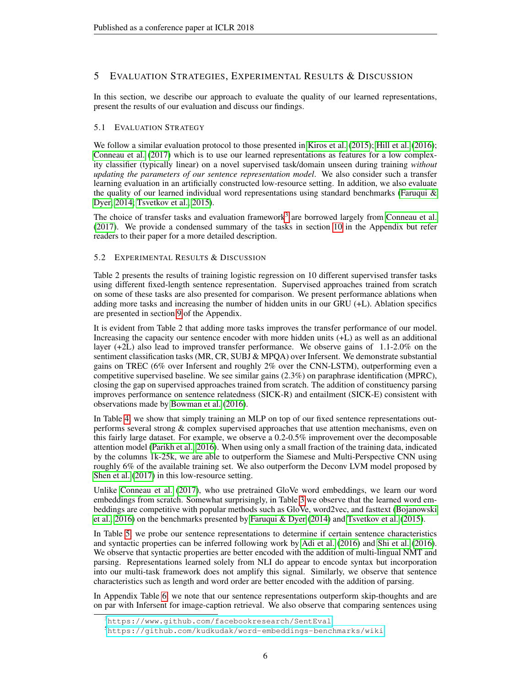# 5 EVALUATION STRATEGIES, EXPERIMENTAL RESULTS & DISCUSSION

In this section, we describe our approach to evaluate the quality of our learned representations, present the results of our evaluation and discuss our findings.

# 5.1 EVALUATION STRATEGY

We follow a similar evaluation protocol to those presented in [Kiros et al.](#page-9-2) [\(2015\)](#page-9-2); [Hill et al.](#page-9-3) [\(2016\)](#page-9-3); [Conneau et al.](#page-9-4) [\(2017\)](#page-9-4) which is to use our learned representations as features for a low complexity classifier (typically linear) on a novel supervised task/domain unseen during training *without updating the parameters of our sentence representation model*. We also consider such a transfer learning evaluation in an artificially constructed low-resource setting. In addition, we also evaluate the quality of our learned individual word representations using standard benchmarks (Faruqui  $\&$ [Dyer, 2014;](#page-9-15) [Tsvetkov et al., 2015\)](#page-10-10).

The choice of transfer tasks and evaluation framework<sup>[3](#page-5-0)</sup> are borrowed largely from [Conneau et al.](#page-9-4) [\(2017\)](#page-9-4). We provide a condensed summary of the tasks in section [10](#page-12-0) in the Appendix but refer readers to their paper for a more detailed description.

# 5.2 EXPERIMENTAL RESULTS & DISCUSSION

Table 2 presents the results of training logistic regression on 10 different supervised transfer tasks using different fixed-length sentence representation. Supervised approaches trained from scratch on some of these tasks are also presented for comparison. We present performance ablations when adding more tasks and increasing the number of hidden units in our GRU (+L). Ablation specifics are presented in section [9](#page-12-1) of the Appendix.

It is evident from Table 2 that adding more tasks improves the transfer performance of our model. Increasing the capacity our sentence encoder with more hidden units (+L) as well as an additional layer (+2L) also lead to improved transfer performance. We observe gains of 1.1-2.0% on the sentiment classification tasks (MR, CR, SUBJ & MPQA) over Infersent. We demonstrate substantial gains on TREC (6% over Infersent and roughly 2% over the CNN-LSTM), outperforming even a competitive supervised baseline. We see similar gains (2.3%) on paraphrase identification (MPRC), closing the gap on supervised approaches trained from scratch. The addition of constituency parsing improves performance on sentence relatedness (SICK-R) and entailment (SICK-E) consistent with observations made by [Bowman et al.](#page-8-6) [\(2016\)](#page-8-6).

In Table [4,](#page-7-0) we show that simply training an MLP on top of our fixed sentence representations outperforms several strong & complex supervised approaches that use attention mechanisms, even on this fairly large dataset. For example, we observe a 0.2-0.5% improvement over the decomposable attention model [\(Parikh et al., 2016\)](#page-10-11). When using only a small fraction of the training data, indicated by the columns 1k-25k, we are able to outperform the Siamese and Multi-Perspective CNN using roughly 6% of the available training set. We also outperform the Deconv LVM model proposed by [Shen et al.](#page-10-12) [\(2017\)](#page-10-12) in this low-resource setting.

Unlike [Conneau et al.](#page-9-4) [\(2017\)](#page-9-4), who use pretrained GloVe word embeddings, we learn our word embeddings from scratch. Somewhat surprisingly, in Table [3](#page-7-1) we observe that the learned word embeddings are competitive with popular methods such as GloVe, word2vec, and fasttext [\(Bojanowski](#page-8-7) [et al., 2016\)](#page-8-7) on the benchmarks presented by [Faruqui & Dyer](#page-9-15) [\(2014\)](#page-9-15) and [Tsvetkov et al.](#page-10-10) [\(2015\)](#page-10-10).

In Table [5,](#page-8-8) we probe our sentence representations to determine if certain sentence characteristics and syntactic properties can be inferred following work by [Adi et al.](#page-8-1) [\(2016\)](#page-8-1) and [Shi et al.](#page-10-6) [\(2016\)](#page-10-6). We observe that syntactic properties are better encoded with the addition of multi-lingual NMT and parsing. Representations learned solely from NLI do appear to encode syntax but incorporation into our multi-task framework does not amplify this signal. Similarly, we observe that sentence characteristics such as length and word order are better encoded with the addition of parsing.

In Appendix Table [6,](#page-14-0) we note that our sentence representations outperform skip-thoughts and are on par with Infersent for image-caption retrieval. We also observe that comparing sentences using

<span id="page-5-0"></span><sup>3</sup><https://www.github.com/facebookresearch/SentEval>

<span id="page-5-1"></span><sup>5</sup><https://github.com/kudkudak/word-embeddings-benchmarks/wiki>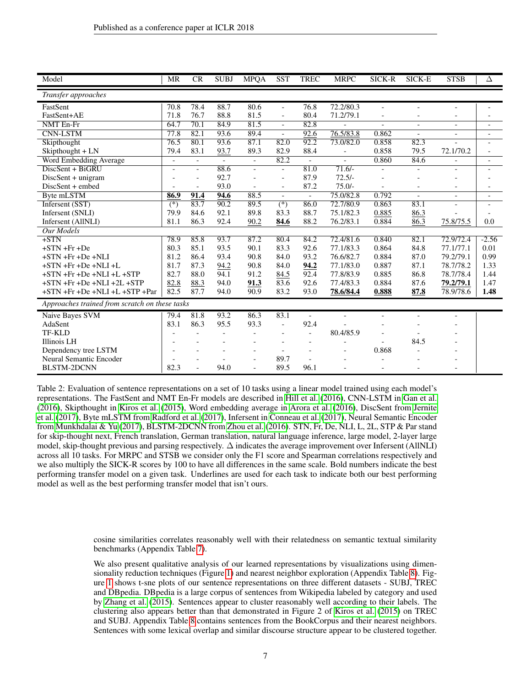| Model                                          | MR                       | CR     | <b>SUBJ</b>              | <b>MPQA</b>              | <b>SST</b>       | <b>TREC</b>              | <b>MRPC</b>                  | SICK-R         | SICK-E         | <b>STSB</b>              | Δ              |
|------------------------------------------------|--------------------------|--------|--------------------------|--------------------------|------------------|--------------------------|------------------------------|----------------|----------------|--------------------------|----------------|
| Transfer approaches                            |                          |        |                          |                          |                  |                          |                              |                |                |                          |                |
| FastSent                                       | 70.8                     | 78.4   | 88.7                     | 80.6                     | $\overline{a}$   | 76.8                     | 72.2/80.3                    | $\blacksquare$ |                | $\overline{\phantom{a}}$ |                |
| FastSent+AE                                    | 71.8                     | 76.7   | 88.8                     | 81.5                     | $\overline{a}$   | 80.4                     | 71.2/79.1                    |                |                | $\overline{\phantom{a}}$ |                |
| <b>NMT</b> En-Fr                               | 64.7                     | 70.1   | 84.9                     | 81.5                     | $\overline{a}$   | 82.8                     | $\overline{a}$               | $\overline{a}$ | $\overline{a}$ | $\bar{a}$                | $\blacksquare$ |
| <b>CNN-LSTM</b>                                | 77.8                     | 82.1   | 93.6                     | 89.4                     | $\overline{a}$   | 92.6                     | 76.5/83.8                    | 0.862          | $\overline{a}$ | $\overline{\phantom{a}}$ |                |
| Skipthought                                    | 76.5                     | 80.1   | 93.6                     | 87.1                     | 82.0             | 92.2                     | 73.0/82.0                    | 0.858          | 82.3           | $\overline{a}$           |                |
| Skipthought + LN                               | 79.4                     | 83.1   | 93.7                     | 89.3                     | 82.9             | 88.4                     | $\overline{\phantom{0}}$     | 0.858          | 79.5           | 72.1/70.2                |                |
| Word Embedding Average                         | $\blacksquare$           | $\sim$ | $\overline{\phantom{a}}$ | $\overline{\phantom{a}}$ | 82.2             | $\sim$                   |                              | 0.860          | 84.6           |                          |                |
| DiscSent + BiGRU                               | $\blacksquare$           |        | 88.6                     | $\overline{a}$           | $\frac{1}{2}$    | 81.0                     | $71.6/-$                     |                |                | $\equiv$                 |                |
| DiscSent + unigram                             |                          |        | 92.7                     | $\overline{a}$           | $\overline{a}$   | 87.9                     | $72.5/-$                     |                |                |                          |                |
| DiscSent + embed                               |                          |        | 93.0                     | $\overline{a}$           | $\overline{a}$   | 87.2                     | $75.0/-$                     |                |                |                          |                |
| Byte mLSTM                                     | 86.9                     | 91.4   | 94.6                     | 88.5                     | $\frac{1}{2}$    | $\blacksquare$           | 75.0/82.8                    | 0.792          | $\bar{a}$      | $\blacksquare$           |                |
| Infersent (SST)                                | $\overline{(*)}$         | 83.7   | 90.2                     | 89.5                     | $\overline{(*)}$ | 86.0                     | 72.7/80.9                    | 0.863          | 83.1           |                          |                |
| Infersent (SNLI)                               | 79.9                     | 84.6   | 92.1                     | 89.8                     | 83.3             | 88.7                     | 75.1/82.3                    | 0.885          | 86.3           |                          |                |
| Infersent (AllNLI)                             | 81.1                     | 86.3   | 92.4                     | 90.2                     | 84.6             | 88.2                     | 76.2/83.1                    | 0.884          | 86.3           | 75.8/75.5                | 0.0            |
| <b>Our Models</b>                              |                          |        |                          |                          |                  |                          |                              |                |                |                          |                |
| $+STN$                                         | 78.9                     | 85.8   | 93.7                     | 87.2                     | 80.4             | 84.2                     | 72.4/81.6                    | 0.840          | 82.1           | 72.9/72.4                | $-2.56$        |
| $+STN + Fr + De$                               | 80.3                     | 85.1   | 93.5                     | 90.1                     | 83.3             | 92.6                     | 77.1/83.3                    | 0.864          | 84.8           | 77.1/77.1                | 0.01           |
| $+STN + Fr + De + NLI$                         | 81.2                     | 86.4   | 93.4                     | 90.8                     | 84.0             | 93.2                     | 76.6/82.7                    | 0.884          | 87.0           | 79.2/79.1                | 0.99           |
| $+STN + Fr + De + NLI + L$                     | 81.7                     | 87.3   | 94.2                     | 90.8                     | 84.0             | 94.2                     | 77.1/83.0                    | 0.887          | 87.1           | 78.7/78.2                | 1.33           |
| $+STN + Fr + De + NLI + L + STP$               | 82.7                     | 88.0   | 94.1                     | 91.2                     | 84.5             | 92.4                     | 77.8/83.9                    | 0.885          | 86.8           | 78.7/78.4                | 1.44           |
| $+STN$ + $Fr$ + $De$ + $NLI$ + $2L$ + $STP$    | 82.8                     | 88.3   | 94.0                     | 91.3                     | 83.6             | 92.6                     | 77.4/83.3                    | 0.884          | 87.6           | 79.2/79.1                | 1.47           |
| +STN +Fr +De +NLI +L +STP +Par                 | 82.5                     | 87.7   | 94.0                     | 90.9                     | 83.2             | 93.0                     | 78.6/84.4                    | 0.888          | 87.8           | 78.9/78.6                | 1.48           |
| Approaches trained from scratch on these tasks |                          |        |                          |                          |                  |                          |                              |                |                |                          |                |
| Naive Bayes SVM                                | 79.4                     | 81.8   | 93.2                     | 86.3                     | 83.1             | $\overline{\phantom{a}}$ |                              |                |                | $\overline{\phantom{a}}$ |                |
| AdaSent                                        | 83.1                     | 86.3   | 95.5                     | 93.3                     | $\overline{a}$   | 92.4                     |                              |                |                |                          |                |
| TF-KLD                                         | $\overline{a}$           |        | $\overline{\phantom{a}}$ |                          | $\overline{a}$   |                          | 80.4/85.9                    |                |                |                          |                |
| Illinois LH                                    | $\overline{\phantom{a}}$ |        |                          |                          |                  | $\overline{\phantom{a}}$ | $\qquad \qquad \blacksquare$ |                | 84.5           |                          |                |
| Dependency tree LSTM                           | $\overline{\phantom{a}}$ |        |                          | $\overline{\phantom{a}}$ | $\overline{a}$   |                          | $\overline{a}$               | 0.868          |                |                          |                |
| Neural Semantic Encoder                        |                          |        |                          |                          | 89.7             |                          |                              |                |                |                          |                |
| <b>BLSTM-2DCNN</b>                             | 82.3                     |        | 94.0                     |                          | 89.5             | 96.1                     |                              |                |                |                          |                |

Table 2: Evaluation of sentence representations on a set of 10 tasks using a linear model trained using each model's representations. The FastSent and NMT En-Fr models are described in [Hill et al.](#page-9-3) [\(2016\)](#page-9-3), CNN-LSTM in [Gan et al.](#page-9-16) [\(2016\)](#page-9-16), Skipthought in [Kiros et al.](#page-9-2) [\(2015\)](#page-9-2), Word embedding average in [Arora et al.](#page-8-3) [\(2016\)](#page-8-3), DiscSent from [Jernite](#page-9-5) [et al.](#page-9-5) [\(2017\)](#page-9-5), Byte mLSTM from [Radford et al.](#page-10-13) [\(2017\)](#page-10-13), Infersent in [Conneau et al.](#page-9-4) [\(2017\)](#page-9-4), Neural Semantic Encoder from [Munkhdalai & Yu](#page-10-14) [\(2017\)](#page-10-14), BLSTM-2DCNN from [Zhou et al.](#page-11-6) [\(2016\)](#page-11-6). STN, Fr, De, NLI, L, 2L, STP & Par stand for skip-thought next, French translation, German translation, natural language inference, large model, 2-layer large model, skip-thought previous and parsing respectively. ∆ indicates the average improvement over Infersent (AllNLI) across all 10 tasks. For MRPC and STSB we consider only the F1 score and Spearman correlations respectively and we also multiply the SICK-R scores by 100 to have all differences in the same scale. Bold numbers indicate the best performing transfer model on a given task. Underlines are used for each task to indicate both our best performing model as well as the best performing transfer model that isn't ours.

> cosine similarities correlates reasonably well with their relatedness on semantic textual similarity benchmarks (Appendix Table [7\)](#page-14-1).

> We also present qualitative analysis of our learned representations by visualizations using dimensionality reduction techniques (Figure [1\)](#page-4-1) and nearest neighbor exploration (Appendix Table [8\)](#page-15-0). Figure [1](#page-4-1) shows t-sne plots of our sentence representations on three different datasets - SUBJ, TREC and DBpedia. DBpedia is a large corpus of sentences from Wikipedia labeled by category and used by [Zhang et al.](#page-11-7) [\(2015\)](#page-11-7). Sentences appear to cluster reasonably well according to their labels. The clustering also appears better than that demonstrated in Figure 2 of [Kiros et al.](#page-9-2) [\(2015\)](#page-9-2) on TREC and SUBJ. Appendix Table [8](#page-15-0) contains sentences from the BookCorpus and their nearest neighbors. Sentences with some lexical overlap and similar discourse structure appear to be clustered together.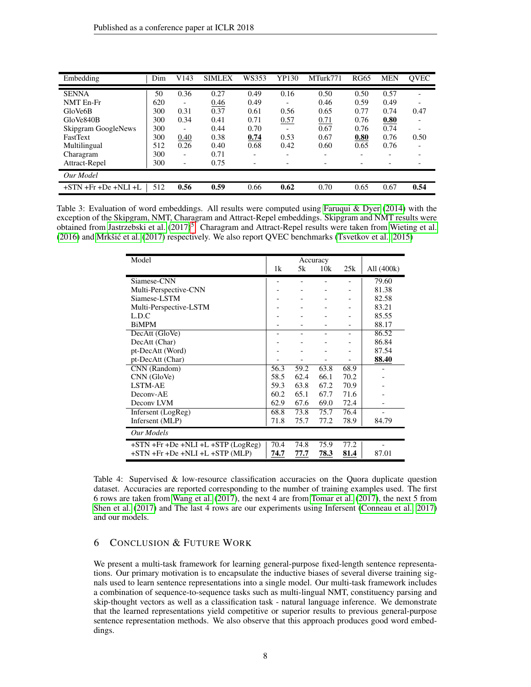| Embedding                  | Dim | V143                     | <b>SIMLEX</b> | WS353                    | YP130                    | MTurk771 | <b>RG65</b>              | <b>MEN</b> | <b>QVEC</b>              |
|----------------------------|-----|--------------------------|---------------|--------------------------|--------------------------|----------|--------------------------|------------|--------------------------|
| <b>SENNA</b>               | 50  | 0.36                     | 0.27          | 0.49                     | 0.16                     | 0.50     | 0.50                     | 0.57       |                          |
| NMT En-Fr                  | 620 | $\overline{\phantom{0}}$ | 0.46          | 0.49                     | -                        | 0.46     | 0.59                     | 0.49       | $\overline{\phantom{0}}$ |
| GloVe6B                    | 300 | 0.31                     | 0.37          | 0.61                     | 0.56                     | 0.65     | 0.77                     | 0.74       | 0.47                     |
| GloVe840B                  | 300 | 0.34                     | 0.41          | 0.71                     | 0.57                     | 0.71     | 0.76                     | 0.80       |                          |
| <b>Skipgram GoogleNews</b> | 300 |                          | 0.44          | 0.70                     |                          | 0.67     | 0.76                     | 0.74       |                          |
| <b>FastText</b>            | 300 | 0.40                     | 0.38          | 0.74                     | 0.53                     | 0.67     | 0.80                     | 0.76       | 0.50                     |
| Multilingual               | 512 | 0.26                     | 0.40          | 0.68                     | 0.42                     | 0.60     | 0.65                     | 0.76       |                          |
| Charagram                  | 300 | $\overline{\phantom{0}}$ | 0.71          | $\overline{\phantom{0}}$ | $\overline{\phantom{0}}$ | -        | $\overline{\phantom{0}}$ |            |                          |
| Attract-Repel              | 300 | $\overline{\phantom{0}}$ | 0.75          |                          |                          |          |                          |            |                          |
| Our Model                  |     |                          |               |                          |                          |          |                          |            |                          |
| $+STN + Fr + De + NLI + L$ | 512 | 0.56                     | 0.59          | 0.66                     | 0.62                     | 0.70     | 0.65                     | 0.67       | 0.54                     |

<span id="page-7-1"></span>Table 3: Evaluation of word embeddings. All results were computed using [Faruqui & Dyer](#page-9-15) [\(2014\)](#page-9-15) with the exception of the Skipgram, NMT, Charagram and Attract-Repel embeddings. Skipgram and NMT results were obtained from [Jastrzebski et al.](#page-9-17) [\(2017\)](#page-9-17)<sup>[5](#page-5-1)</sup>. Charagram and Attract-Repel results were taken from [Wieting et al.](#page-11-8) [\(2016\)](#page-11-8) and [Mrkšic et al.](#page-10-15) [\(2017\)](#page-10-15) respectively. We also report QVEC benchmarks [\(Tsvetkov et al., 2015\)](#page-10-10) ´

| Model                                                   |      | Accuracy |      |      |            |
|---------------------------------------------------------|------|----------|------|------|------------|
|                                                         | 1k   | 5k       | 10k  | 25k  | All (400k) |
| Siamese-CNN                                             |      |          |      |      | 79.60      |
| Multi-Perspective-CNN                                   |      |          |      |      | 81.38      |
| Siamese-LSTM                                            |      |          |      |      | 82.58      |
| Multi-Perspective-LSTM                                  |      |          |      |      | 83.21      |
| L.D.C                                                   |      |          |      |      | 85.55      |
| <b>BiMPM</b>                                            |      |          |      |      | 88.17      |
| DecAtt (GloVe)                                          |      |          |      |      | 86.52      |
| DecAtt (Char)                                           |      |          |      |      | 86.84      |
| pt-DecAtt (Word)                                        |      |          |      |      | 87.54      |
| pt-DecAtt (Char)                                        |      |          |      |      | 88.40      |
| CNN (Random)                                            | 56.3 | 59.2     | 63.8 | 68.9 |            |
| CNN (GloVe)                                             | 58.5 | 62.4     | 66.1 | 70.2 |            |
| LSTM-AE                                                 | 59.3 | 63.8     | 67.2 | 70.9 |            |
| Deconv-AE                                               | 60.2 | 65.1     | 67.7 | 71.6 |            |
| Decony LVM                                              | 62.9 | 67.6     | 69.0 | 72.4 |            |
| Infersent (LogReg)                                      | 68.8 | 73.8     | 75.7 | 76.4 |            |
| Infersent (MLP)                                         | 71.8 | 75.7     | 77.2 | 78.9 | 84.79      |
| Our Models                                              |      |          |      |      |            |
| $+STN$ + $Fr$ + $De$ + $NLI$ + $L$ + $STP$ ( $LogReg$ ) | 70.4 | 74.8     | 75.9 | 77.2 |            |
| $+STN$ + $Fr$ + $De$ + $NLI$ + $L$ + $STP$ (MLP)        | 74.7 | 77.7     | 78.3 | 81.4 | 87.01      |

<span id="page-7-0"></span>Table 4: Supervised & low-resource classification accuracies on the Quora duplicate question dataset. Accuracies are reported corresponding to the number of training examples used. The first 6 rows are taken from [Wang et al.](#page-11-9) [\(2017\)](#page-11-9), the next 4 are from [Tomar et al.](#page-10-16) [\(2017\)](#page-10-16), the next 5 from [Shen et al.](#page-10-12) [\(2017\)](#page-10-12) and The last 4 rows are our experiments using Infersent [\(Conneau et al., 2017\)](#page-9-4) and our models.

# 6 CONCLUSION & FUTURE WORK

We present a multi-task framework for learning general-purpose fixed-length sentence representations. Our primary motivation is to encapsulate the inductive biases of several diverse training signals used to learn sentence representations into a single model. Our multi-task framework includes a combination of sequence-to-sequence tasks such as multi-lingual NMT, constituency parsing and skip-thought vectors as well as a classification task - natural language inference. We demonstrate that the learned representations yield competitive or superior results to previous general-purpose sentence representation methods. We also observe that this approach produces good word embeddings.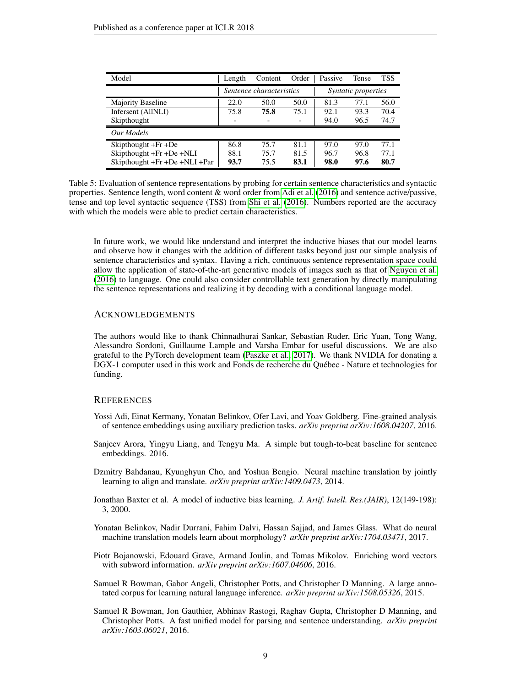| Model                              | Length | Content                  | Order                    | Passive | <b>Tense</b> | <b>TSS</b> |
|------------------------------------|--------|--------------------------|--------------------------|---------|--------------|------------|
|                                    |        | Sentence characteristics | Syntatic properties      |         |              |            |
| Majority Baseline                  | 22.0   | 50.0                     | 50.0                     | 81.3    | 77.1         | 56.0       |
| Infersent (AllNLI)                 | 75.8   | 75.8                     | 75.1                     | 92.1    | 93.3         | 70.4       |
| Skipthought                        | -      |                          | $\overline{\phantom{0}}$ | 94.0    | 96.5         | 74.7       |
| Our Models                         |        |                          |                          |         |              |            |
| Skipthought $+Fr + De$             | 86.8   | 75.7                     | 81.1                     | 97.0    | 97.0         | 77.1       |
| Skipthought +Fr +De +NLI           | 88.1   | 75.7                     | 81.5                     | 96.7    | 96.8         | 77.1       |
| Skipthought $+Fr + De + NLI + Par$ | 93.7   | 75.5                     | 83.1                     | 98.0    | 97.6         | 80.7       |

<span id="page-8-8"></span>Table 5: Evaluation of sentence representations by probing for certain sentence characteristics and syntactic properties. Sentence length, word content & word order from [Adi et al.](#page-8-1) [\(2016\)](#page-8-1) and sentence active/passive, tense and top level syntactic sequence (TSS) from [Shi et al.](#page-10-6) [\(2016\)](#page-10-6). Numbers reported are the accuracy with which the models were able to predict certain characteristics.

In future work, we would like understand and interpret the inductive biases that our model learns and observe how it changes with the addition of different tasks beyond just our simple analysis of sentence characteristics and syntax. Having a rich, continuous sentence representation space could allow the application of state-of-the-art generative models of images such as that of [Nguyen et al.](#page-10-17) [\(2016\)](#page-10-17) to language. One could also consider controllable text generation by directly manipulating the sentence representations and realizing it by decoding with a conditional language model.

#### ACKNOWLEDGEMENTS

The authors would like to thank Chinnadhurai Sankar, Sebastian Ruder, Eric Yuan, Tong Wang, Alessandro Sordoni, Guillaume Lample and Varsha Embar for useful discussions. We are also grateful to the PyTorch development team [\(Paszke et al., 2017\)](#page-10-18). We thank NVIDIA for donating a DGX-1 computer used in this work and Fonds de recherche du Québec - Nature et technologies for funding.

# **REFERENCES**

- <span id="page-8-1"></span>Yossi Adi, Einat Kermany, Yonatan Belinkov, Ofer Lavi, and Yoav Goldberg. Fine-grained analysis of sentence embeddings using auxiliary prediction tasks. *arXiv preprint arXiv:1608.04207*, 2016.
- <span id="page-8-3"></span>Sanjeev Arora, Yingyu Liang, and Tengyu Ma. A simple but tough-to-beat baseline for sentence embeddings. 2016.
- <span id="page-8-4"></span>Dzmitry Bahdanau, Kyunghyun Cho, and Yoshua Bengio. Neural machine translation by jointly learning to align and translate. *arXiv preprint arXiv:1409.0473*, 2014.
- <span id="page-8-2"></span>Jonathan Baxter et al. A model of inductive bias learning. *J. Artif. Intell. Res.(JAIR)*, 12(149-198): 3, 2000.
- <span id="page-8-0"></span>Yonatan Belinkov, Nadir Durrani, Fahim Dalvi, Hassan Sajjad, and James Glass. What do neural machine translation models learn about morphology? *arXiv preprint arXiv:1704.03471*, 2017.
- <span id="page-8-7"></span>Piotr Bojanowski, Edouard Grave, Armand Joulin, and Tomas Mikolov. Enriching word vectors with subword information. *arXiv preprint arXiv:1607.04606*, 2016.
- <span id="page-8-5"></span>Samuel R Bowman, Gabor Angeli, Christopher Potts, and Christopher D Manning. A large annotated corpus for learning natural language inference. *arXiv preprint arXiv:1508.05326*, 2015.
- <span id="page-8-6"></span>Samuel R Bowman, Jon Gauthier, Abhinav Rastogi, Raghav Gupta, Christopher D Manning, and Christopher Potts. A fast unified model for parsing and sentence understanding. *arXiv preprint arXiv:1603.06021*, 2016.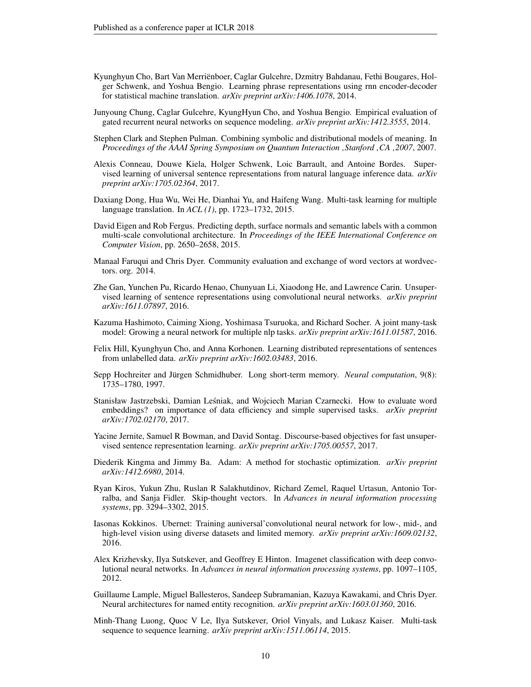- <span id="page-9-11"></span>Kyunghyun Cho, Bart Van Merriënboer, Caglar Gulcehre, Dzmitry Bahdanau, Fethi Bougares, Holger Schwenk, and Yoshua Bengio. Learning phrase representations using rnn encoder-decoder for statistical machine translation. *arXiv preprint arXiv:1406.1078*, 2014.
- <span id="page-9-13"></span>Junyoung Chung, Caglar Gulcehre, KyungHyun Cho, and Yoshua Bengio. Empirical evaluation of gated recurrent neural networks on sequence modeling. *arXiv preprint arXiv:1412.3555*, 2014.
- <span id="page-9-6"></span>Stephen Clark and Stephen Pulman. Combining symbolic and distributional models of meaning. In *Proceedings of the AAAI Spring Symposium on Quantum Interaction 'Stanford 'CA '2007*, 2007.
- <span id="page-9-4"></span>Alexis Conneau, Douwe Kiela, Holger Schwenk, Loic Barrault, and Antoine Bordes. Supervised learning of universal sentence representations from natural language inference data. *arXiv preprint arXiv:1705.02364*, 2017.
- <span id="page-9-14"></span>Daxiang Dong, Hua Wu, Wei He, Dianhai Yu, and Haifeng Wang. Multi-task learning for multiple language translation. In *ACL (1)*, pp. 1723–1732, 2015.
- <span id="page-9-10"></span>David Eigen and Rob Fergus. Predicting depth, surface normals and semantic labels with a common multi-scale convolutional architecture. In *Proceedings of the IEEE International Conference on Computer Vision*, pp. 2650–2658, 2015.
- <span id="page-9-15"></span>Manaal Faruqui and Chris Dyer. Community evaluation and exchange of word vectors at wordvectors. org. 2014.
- <span id="page-9-16"></span>Zhe Gan, Yunchen Pu, Ricardo Henao, Chunyuan Li, Xiaodong He, and Lawrence Carin. Unsupervised learning of sentence representations using convolutional neural networks. *arXiv preprint arXiv:1611.07897*, 2016.
- <span id="page-9-8"></span>Kazuma Hashimoto, Caiming Xiong, Yoshimasa Tsuruoka, and Richard Socher. A joint many-task model: Growing a neural network for multiple nlp tasks. *arXiv preprint arXiv:1611.01587*, 2016.
- <span id="page-9-3"></span>Felix Hill, Kyunghyun Cho, and Anna Korhonen. Learning distributed representations of sentences from unlabelled data. *arXiv preprint arXiv:1602.03483*, 2016.
- <span id="page-9-12"></span>Sepp Hochreiter and Jürgen Schmidhuber. Long short-term memory. *Neural computation*, 9(8): 1735–1780, 1997.
- <span id="page-9-17"></span>Stanisław Jastrzebski, Damian Lesniak, and Wojciech Marian Czarnecki. How to evaluate word ´ embeddings? on importance of data efficiency and simple supervised tasks. *arXiv preprint arXiv:1702.02170*, 2017.
- <span id="page-9-5"></span>Yacine Jernite, Samuel R Bowman, and David Sontag. Discourse-based objectives for fast unsupervised sentence representation learning. *arXiv preprint arXiv:1705.00557*, 2017.
- <span id="page-9-18"></span>Diederik Kingma and Jimmy Ba. Adam: A method for stochastic optimization. *arXiv preprint arXiv:1412.6980*, 2014.
- <span id="page-9-2"></span>Ryan Kiros, Yukun Zhu, Ruslan R Salakhutdinov, Richard Zemel, Raquel Urtasun, Antonio Torralba, and Sanja Fidler. Skip-thought vectors. In *Advances in neural information processing systems*, pp. 3294–3302, 2015.
- <span id="page-9-9"></span>Iasonas Kokkinos. Ubernet: Training auniversal'convolutional neural network for low-, mid-, and high-level vision using diverse datasets and limited memory. *arXiv preprint arXiv:1609.02132*, 2016.
- <span id="page-9-0"></span>Alex Krizhevsky, Ilya Sutskever, and Geoffrey E Hinton. Imagenet classification with deep convolutional neural networks. In *Advances in neural information processing systems*, pp. 1097–1105, 2012.
- <span id="page-9-1"></span>Guillaume Lample, Miguel Ballesteros, Sandeep Subramanian, Kazuya Kawakami, and Chris Dyer. Neural architectures for named entity recognition. *arXiv preprint arXiv:1603.01360*, 2016.
- <span id="page-9-7"></span>Minh-Thang Luong, Quoc V Le, Ilya Sutskever, Oriol Vinyals, and Lukasz Kaiser. Multi-task sequence to sequence learning. *arXiv preprint arXiv:1511.06114*, 2015.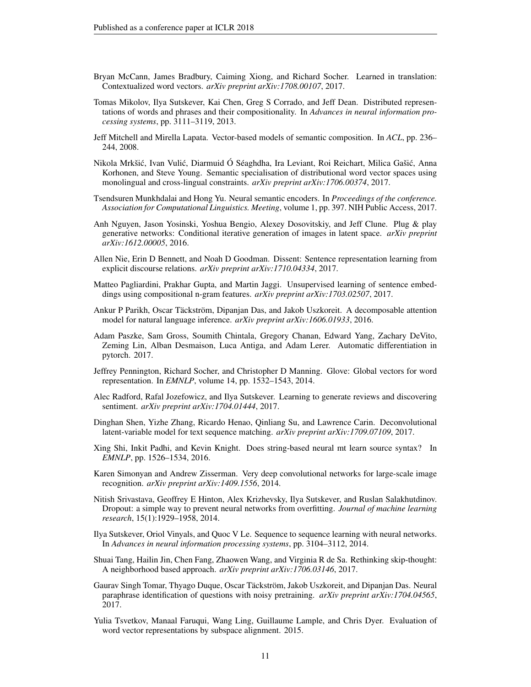- <span id="page-10-3"></span>Bryan McCann, James Bradbury, Caiming Xiong, and Richard Socher. Learned in translation: Contextualized word vectors. *arXiv preprint arXiv:1708.00107*, 2017.
- <span id="page-10-1"></span>Tomas Mikolov, Ilya Sutskever, Kai Chen, Greg S Corrado, and Jeff Dean. Distributed representations of words and phrases and their compositionality. In *Advances in neural information processing systems*, pp. 3111–3119, 2013.
- <span id="page-10-7"></span>Jeff Mitchell and Mirella Lapata. Vector-based models of semantic composition. In *ACL*, pp. 236– 244, 2008.
- <span id="page-10-15"></span>Nikola Mrkšić, Ivan Vulić, Diarmuid Ó Séaghdha, Ira Leviant, Roi Reichart, Milica Gašić, Anna Korhonen, and Steve Young. Semantic specialisation of distributional word vector spaces using monolingual and cross-lingual constraints. *arXiv preprint arXiv:1706.00374*, 2017.
- <span id="page-10-14"></span>Tsendsuren Munkhdalai and Hong Yu. Neural semantic encoders. In *Proceedings of the conference. Association for Computational Linguistics. Meeting*, volume 1, pp. 397. NIH Public Access, 2017.
- <span id="page-10-17"></span>Anh Nguyen, Jason Yosinski, Yoshua Bengio, Alexey Dosovitskiy, and Jeff Clune. Plug & play generative networks: Conditional iterative generation of images in latent space. *arXiv preprint arXiv:1612.00005*, 2016.
- <span id="page-10-4"></span>Allen Nie, Erin D Bennett, and Noah D Goodman. Dissent: Sentence representation learning from explicit discourse relations. *arXiv preprint arXiv:1710.04334*, 2017.
- <span id="page-10-5"></span>Matteo Pagliardini, Prakhar Gupta, and Martin Jaggi. Unsupervised learning of sentence embeddings using compositional n-gram features. *arXiv preprint arXiv:1703.02507*, 2017.
- <span id="page-10-11"></span>Ankur P Parikh, Oscar Täckström, Dipanjan Das, and Jakob Uszkoreit. A decomposable attention model for natural language inference. *arXiv preprint arXiv:1606.01933*, 2016.
- <span id="page-10-18"></span>Adam Paszke, Sam Gross, Soumith Chintala, Gregory Chanan, Edward Yang, Zachary DeVito, Zeming Lin, Alban Desmaison, Luca Antiga, and Adam Lerer. Automatic differentiation in pytorch. 2017.
- <span id="page-10-2"></span>Jeffrey Pennington, Richard Socher, and Christopher D Manning. Glove: Global vectors for word representation. In *EMNLP*, volume 14, pp. 1532–1543, 2014.
- <span id="page-10-13"></span>Alec Radford, Rafal Jozefowicz, and Ilya Sutskever. Learning to generate reviews and discovering sentiment. *arXiv preprint arXiv:1704.01444*, 2017.
- <span id="page-10-12"></span>Dinghan Shen, Yizhe Zhang, Ricardo Henao, Qinliang Su, and Lawrence Carin. Deconvolutional latent-variable model for text sequence matching. *arXiv preprint arXiv:1709.07109*, 2017.
- <span id="page-10-6"></span>Xing Shi, Inkit Padhi, and Kevin Knight. Does string-based neural mt learn source syntax? In *EMNLP*, pp. 1526–1534, 2016.
- <span id="page-10-0"></span>Karen Simonyan and Andrew Zisserman. Very deep convolutional networks for large-scale image recognition. *arXiv preprint arXiv:1409.1556*, 2014.
- <span id="page-10-19"></span>Nitish Srivastava, Geoffrey E Hinton, Alex Krizhevsky, Ilya Sutskever, and Ruslan Salakhutdinov. Dropout: a simple way to prevent neural networks from overfitting. *Journal of machine learning research*, 15(1):1929–1958, 2014.
- <span id="page-10-8"></span>Ilya Sutskever, Oriol Vinyals, and Quoc V Le. Sequence to sequence learning with neural networks. In *Advances in neural information processing systems*, pp. 3104–3112, 2014.
- <span id="page-10-9"></span>Shuai Tang, Hailin Jin, Chen Fang, Zhaowen Wang, and Virginia R de Sa. Rethinking skip-thought: A neighborhood based approach. *arXiv preprint arXiv:1706.03146*, 2017.
- <span id="page-10-16"></span>Gaurav Singh Tomar, Thyago Duque, Oscar Täckström, Jakob Uszkoreit, and Dipanjan Das. Neural paraphrase identification of questions with noisy pretraining. *arXiv preprint arXiv:1704.04565*, 2017.
- <span id="page-10-10"></span>Yulia Tsvetkov, Manaal Faruqui, Wang Ling, Guillaume Lample, and Chris Dyer. Evaluation of word vector representations by subspace alignment. 2015.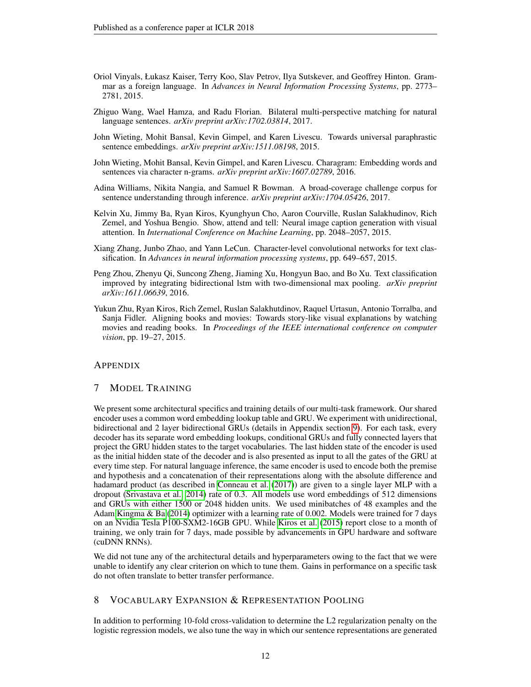- <span id="page-11-2"></span>Oriol Vinyals, Łukasz Kaiser, Terry Koo, Slav Petrov, Ilya Sutskever, and Geoffrey Hinton. Grammar as a foreign language. In *Advances in Neural Information Processing Systems*, pp. 2773– 2781, 2015.
- <span id="page-11-9"></span>Zhiguo Wang, Wael Hamza, and Radu Florian. Bilateral multi-perspective matching for natural language sentences. *arXiv preprint arXiv:1702.03814*, 2017.
- <span id="page-11-1"></span>John Wieting, Mohit Bansal, Kevin Gimpel, and Karen Livescu. Towards universal paraphrastic sentence embeddings. *arXiv preprint arXiv:1511.08198*, 2015.
- <span id="page-11-8"></span>John Wieting, Mohit Bansal, Kevin Gimpel, and Karen Livescu. Charagram: Embedding words and sentences via character n-grams. *arXiv preprint arXiv:1607.02789*, 2016.
- <span id="page-11-4"></span>Adina Williams, Nikita Nangia, and Samuel R Bowman. A broad-coverage challenge corpus for sentence understanding through inference. *arXiv preprint arXiv:1704.05426*, 2017.
- <span id="page-11-0"></span>Kelvin Xu, Jimmy Ba, Ryan Kiros, Kyunghyun Cho, Aaron Courville, Ruslan Salakhudinov, Rich Zemel, and Yoshua Bengio. Show, attend and tell: Neural image caption generation with visual attention. In *International Conference on Machine Learning*, pp. 2048–2057, 2015.
- <span id="page-11-7"></span>Xiang Zhang, Junbo Zhao, and Yann LeCun. Character-level convolutional networks for text classification. In *Advances in neural information processing systems*, pp. 649–657, 2015.
- <span id="page-11-6"></span>Peng Zhou, Zhenyu Qi, Suncong Zheng, Jiaming Xu, Hongyun Bao, and Bo Xu. Text classification improved by integrating bidirectional lstm with two-dimensional max pooling. *arXiv preprint arXiv:1611.06639*, 2016.
- <span id="page-11-3"></span>Yukun Zhu, Ryan Kiros, Rich Zemel, Ruslan Salakhutdinov, Raquel Urtasun, Antonio Torralba, and Sanja Fidler. Aligning books and movies: Towards story-like visual explanations by watching movies and reading books. In *Proceedings of the IEEE international conference on computer vision*, pp. 19–27, 2015.

# **APPENDIX**

# <span id="page-11-5"></span>7 MODEL TRAINING

We present some architectural specifics and training details of our multi-task framework. Our shared encoder uses a common word embedding lookup table and GRU. We experiment with unidirectional, bidirectional and 2 layer bidirectional GRUs (details in Appendix section [9\)](#page-12-1). For each task, every decoder has its separate word embedding lookups, conditional GRUs and fully connected layers that project the GRU hidden states to the target vocabularies. The last hidden state of the encoder is used as the initial hidden state of the decoder and is also presented as input to all the gates of the GRU at every time step. For natural language inference, the same encoder is used to encode both the premise and hypothesis and a concatenation of their representations along with the absolute difference and hadamard product (as described in [Conneau et al.](#page-9-4) [\(2017\)](#page-9-4)) are given to a single layer MLP with a dropout [\(Srivastava et al., 2014\)](#page-10-19) rate of 0.3. All models use word embeddings of 512 dimensions and GRUs with either 1500 or 2048 hidden units. We used minibatches of 48 examples and the Adam [Kingma & Ba](#page-9-18) [\(2014\)](#page-9-18) optimizer with a learning rate of 0.002. Models were trained for 7 days on an Nvidia Tesla P100-SXM2-16GB GPU. While [Kiros et al.](#page-9-2) [\(2015\)](#page-9-2) report close to a month of training, we only train for 7 days, made possible by advancements in GPU hardware and software (cuDNN RNNs).

We did not tune any of the architectural details and hyperparameters owing to the fact that we were unable to identify any clear criterion on which to tune them. Gains in performance on a specific task do not often translate to better transfer performance.

# 8 VOCABULARY EXPANSION & REPRESENTATION POOLING

In addition to performing 10-fold cross-validation to determine the L2 regularization penalty on the logistic regression models, we also tune the way in which our sentence representations are generated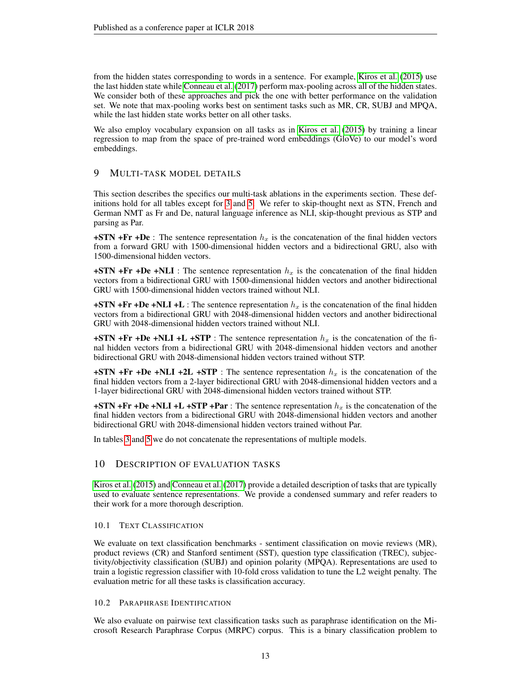from the hidden states corresponding to words in a sentence. For example, [Kiros et al.](#page-9-2) [\(2015\)](#page-9-2) use the last hidden state while [Conneau et al.](#page-9-4) [\(2017\)](#page-9-4) perform max-pooling across all of the hidden states. We consider both of these approaches and pick the one with better performance on the validation set. We note that max-pooling works best on sentiment tasks such as MR, CR, SUBJ and MPQA, while the last hidden state works better on all other tasks.

We also employ vocabulary expansion on all tasks as in [Kiros et al.](#page-9-2) [\(2015\)](#page-9-2) by training a linear regression to map from the space of pre-trained word embeddings (GloVe) to our model's word embeddings.

# <span id="page-12-1"></span>9 MULTI-TASK MODEL DETAILS

This section describes the specifics our multi-task ablations in the experiments section. These definitions hold for all tables except for [3](#page-7-1) and [5.](#page-8-8) We refer to skip-thought next as STN, French and German NMT as Fr and De, natural language inference as NLI, skip-thought previous as STP and parsing as Par.

+STN +Fr +De : The sentence representation  $h_x$  is the concatenation of the final hidden vectors from a forward GRU with 1500-dimensional hidden vectors and a bidirectional GRU, also with 1500-dimensional hidden vectors.

+STN +Fr +De +NLI : The sentence representation  $h_x$  is the concatenation of the final hidden vectors from a bidirectional GRU with 1500-dimensional hidden vectors and another bidirectional GRU with 1500-dimensional hidden vectors trained without NLI.

+STN +Fr +De +NLI +L : The sentence representation  $h<sub>x</sub>$  is the concatenation of the final hidden vectors from a bidirectional GRU with 2048-dimensional hidden vectors and another bidirectional GRU with 2048-dimensional hidden vectors trained without NLI.

 $+STN$  +Fr +De +NLI +L +STP : The sentence representation  $h<sub>x</sub>$  is the concatenation of the final hidden vectors from a bidirectional GRU with 2048-dimensional hidden vectors and another bidirectional GRU with 2048-dimensional hidden vectors trained without STP.

+STN +Fr +De +NLI +2L +STP : The sentence representation  $h_x$  is the concatenation of the final hidden vectors from a 2-layer bidirectional GRU with 2048-dimensional hidden vectors and a 1-layer bidirectional GRU with 2048-dimensional hidden vectors trained without STP.

+STN +Fr +De +NLI +L +STP +Par : The sentence representation  $h_x$  is the concatenation of the final hidden vectors from a bidirectional GRU with 2048-dimensional hidden vectors and another bidirectional GRU with 2048-dimensional hidden vectors trained without Par.

In tables [3](#page-7-1) and [5](#page-8-8) we do not concatenate the representations of multiple models.

# <span id="page-12-0"></span>10 DESCRIPTION OF EVALUATION TASKS

[Kiros et al.](#page-9-2) [\(2015\)](#page-9-2) and [Conneau et al.](#page-9-4) [\(2017\)](#page-9-4) provide a detailed description of tasks that are typically used to evaluate sentence representations. We provide a condensed summary and refer readers to their work for a more thorough description.

#### 10.1 TEXT CLASSIFICATION

We evaluate on text classification benchmarks - sentiment classification on movie reviews (MR), product reviews (CR) and Stanford sentiment (SST), question type classification (TREC), subjectivity/objectivity classification (SUBJ) and opinion polarity (MPQA). Representations are used to train a logistic regression classifier with 10-fold cross validation to tune the L2 weight penalty. The evaluation metric for all these tasks is classification accuracy.

#### 10.2 PARAPHRASE IDENTIFICATION

We also evaluate on pairwise text classification tasks such as paraphrase identification on the Microsoft Research Paraphrase Corpus (MRPC) corpus. This is a binary classification problem to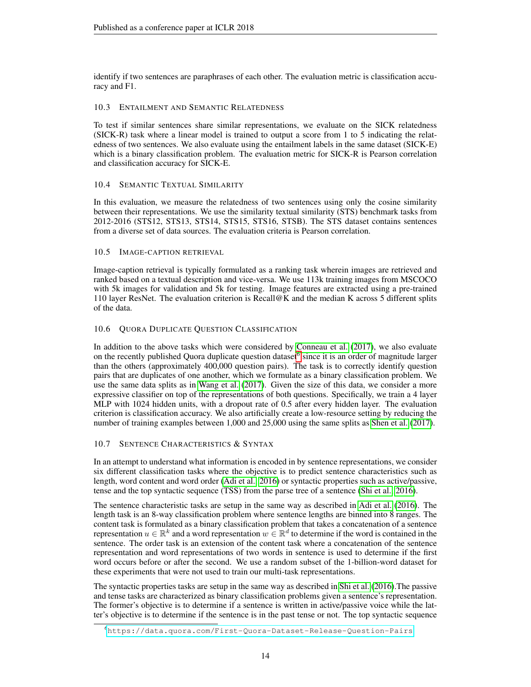identify if two sentences are paraphrases of each other. The evaluation metric is classification accuracy and F1.

# 10.3 ENTAILMENT AND SEMANTIC RELATEDNESS

To test if similar sentences share similar representations, we evaluate on the SICK relatedness (SICK-R) task where a linear model is trained to output a score from 1 to 5 indicating the relatedness of two sentences. We also evaluate using the entailment labels in the same dataset (SICK-E) which is a binary classification problem. The evaluation metric for SICK-R is Pearson correlation and classification accuracy for SICK-E.

# 10.4 SEMANTIC TEXTUAL SIMILARITY

In this evaluation, we measure the relatedness of two sentences using only the cosine similarity between their representations. We use the similarity textual similarity (STS) benchmark tasks from 2012-2016 (STS12, STS13, STS14, STS15, STS16, STSB). The STS dataset contains sentences from a diverse set of data sources. The evaluation criteria is Pearson correlation.

# 10.5 IMAGE-CAPTION RETRIEVAL

Image-caption retrieval is typically formulated as a ranking task wherein images are retrieved and ranked based on a textual description and vice-versa. We use 113k training images from MSCOCO with 5k images for validation and 5k for testing. Image features are extracted using a pre-trained 110 layer ResNet. The evaluation criterion is Recall@K and the median K across 5 different splits of the data.

# 10.6 QUORA DUPLICATE QUESTION CLASSIFICATION

In addition to the above tasks which were considered by [Conneau et al.](#page-9-4) [\(2017\)](#page-9-4), we also evaluate on the recently published Quora duplicate question dataset<sup>[6](#page-13-0)</sup> since it is an order of magnitude larger than the others (approximately 400,000 question pairs). The task is to correctly identify question pairs that are duplicates of one another, which we formulate as a binary classification problem. We use the same data splits as in [Wang et al.](#page-11-9) [\(2017\)](#page-11-9). Given the size of this data, we consider a more expressive classifier on top of the representations of both questions. Specifically, we train a 4 layer MLP with 1024 hidden units, with a dropout rate of 0.5 after every hidden layer. The evaluation criterion is classification accuracy. We also artificially create a low-resource setting by reducing the number of training examples between 1,000 and 25,000 using the same splits as [Shen et al.](#page-10-12) [\(2017\)](#page-10-12).

# 10.7 SENTENCE CHARACTERISTICS & SYNTAX

In an attempt to understand what information is encoded in by sentence representations, we consider six different classification tasks where the objective is to predict sentence characteristics such as length, word content and word order [\(Adi et al., 2016\)](#page-8-1) or syntactic properties such as active/passive, tense and the top syntactic sequence (TSS) from the parse tree of a sentence [\(Shi et al., 2016\)](#page-10-6).

The sentence characteristic tasks are setup in the same way as described in [Adi et al.](#page-8-1) [\(2016\)](#page-8-1). The length task is an 8-way classification problem where sentence lengths are binned into 8 ranges. The content task is formulated as a binary classification problem that takes a concatenation of a sentence representation  $u \in \mathbb{R}^k$  and a word representation  $w \in \mathbb{R}^d$  to determine if the word is contained in the sentence. The order task is an extension of the content task where a concatenation of the sentence representation and word representations of two words in sentence is used to determine if the first word occurs before or after the second. We use a random subset of the 1-billion-word dataset for these experiments that were not used to train our multi-task representations.

The syntactic properties tasks are setup in the same way as described in [Shi et al.](#page-10-6) [\(2016\)](#page-10-6).The passive and tense tasks are characterized as binary classification problems given a sentence's representation. The former's objective is to determine if a sentence is written in active/passive voice while the latter's objective is to determine if the sentence is in the past tense or not. The top syntactic sequence

<span id="page-13-0"></span><sup>6</sup><https://data.quora.com/First-Quora-Dataset-Release-Question-Pairs>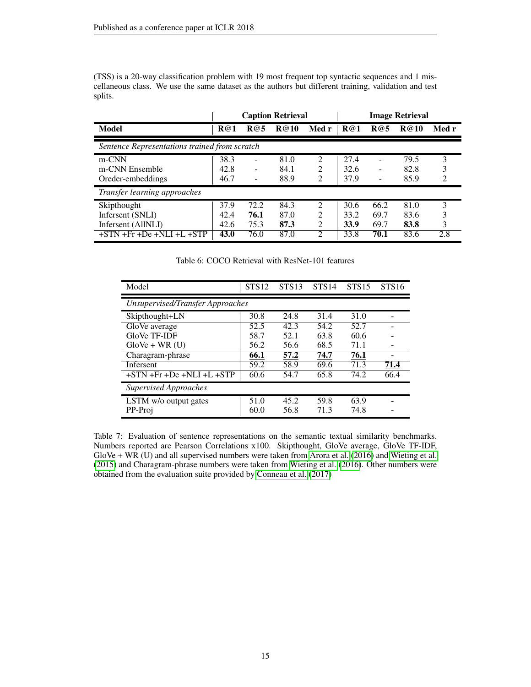(TSS) is a 20-way classification problem with 19 most frequent top syntactic sequences and 1 miscellaneous class. We use the same dataset as the authors but different training, validation and test splits.

|                                               | <b>Image Retrieval</b><br><b>Caption Retrieval</b> |      |             |                             |      |      |             |                |
|-----------------------------------------------|----------------------------------------------------|------|-------------|-----------------------------|------|------|-------------|----------------|
| Model                                         | R@1                                                | R@5  | <b>R@10</b> | Med r                       | R@1  | R@5  | <b>R@10</b> | Med r          |
| Sentence Representations trained from scratch |                                                    |      |             |                             |      |      |             |                |
| m-CNN                                         | 38.3                                               | ۰    | 81.0        | 2                           | 27.4 | -    | 79.5        | 3              |
| m-CNN Ensemble                                | 42.8                                               | ۰    | 84.1        | 2                           | 32.6 | -    | 82.8        |                |
| Oreder-embeddings                             | 46.7                                               | ۰    | 88.9        | 2                           | 37.9 |      | 85.9        | $\mathfrak{D}$ |
| Transfer learning approaches                  |                                                    |      |             |                             |      |      |             |                |
| Skipthought                                   | 37.9                                               | 72.2 | 84.3        | $\mathfrak{D}$              | 30.6 | 66.2 | 81.0        | 3              |
| Infersent (SNLI)                              | 42.4                                               | 76.1 | 87.0        | $\mathcal{D}_{\mathcal{L}}$ | 33.2 | 69.7 | 83.6        | 3              |
| Infersent (AllNLI)                            | 42.6                                               | 75.3 | 87.3        | $\mathfrak{D}$              | 33.9 | 69.7 | 83.8        | 3              |
| $+STN + Fr + De + NLI + L + STP$              | 43.0                                               | 76.0 | 87.0        | $\mathfrak{D}$              | 33.8 | 70.1 | 83.6        | 2.8            |

<span id="page-14-0"></span>Table 6: COCO Retrieval with ResNet-101 features

| Model                            | STS <sub>12</sub> | STS <sub>13</sub> | STS <sub>14</sub> | <b>STS15</b> | STS <sub>16</sub> |  |  |  |  |  |
|----------------------------------|-------------------|-------------------|-------------------|--------------|-------------------|--|--|--|--|--|
| Unsupervised/Transfer Approaches |                   |                   |                   |              |                   |  |  |  |  |  |
| Skipthought+LN                   | 30.8              | 24.8              | 31.4              | 31.0         |                   |  |  |  |  |  |
| GloVe average                    | 52.5              | 42.3              | 54.2              | 52.7         |                   |  |  |  |  |  |
| GloVe TF-IDF                     | 58.7              | 52.1              | 63.8              | 60.6         |                   |  |  |  |  |  |
| $GloVe + WR$ (U)                 | 56.2              | 56.6              | 68.5              | 71.1         |                   |  |  |  |  |  |
| Charagram-phrase                 | 66.1              | 57.2              | 74.7              | 76.1         |                   |  |  |  |  |  |
| Infersent                        | 59.2              | 58.9              | 69.6              | 71.3         | 71.4              |  |  |  |  |  |
| $+STN + Fr + De + NLI + L + STP$ | 60.6              | 54.7              | 65.8              | 74.2         | 66.4              |  |  |  |  |  |
| Supervised Approaches            |                   |                   |                   |              |                   |  |  |  |  |  |
| LSTM w/o output gates            | 51.0              | 45.2              | 59.8              | 63.9         |                   |  |  |  |  |  |
| PP-Proj                          | 60.0              | 56.8              | 71.3              | 74.8         |                   |  |  |  |  |  |

<span id="page-14-1"></span>Table 7: Evaluation of sentence representations on the semantic textual similarity benchmarks. Numbers reported are Pearson Correlations x100. Skipthought, GloVe average, GloVe TF-IDF, GloVe + WR (U) and all supervised numbers were taken from [Arora et al.](#page-8-3) [\(2016\)](#page-8-3) and [Wieting et al.](#page-11-1) [\(2015\)](#page-11-1) and Charagram-phrase numbers were taken from [Wieting et al.](#page-11-8) [\(2016\)](#page-11-8). Other numbers were obtained from the evaluation suite provided by [Conneau et al.](#page-9-4) [\(2017\)](#page-9-4)